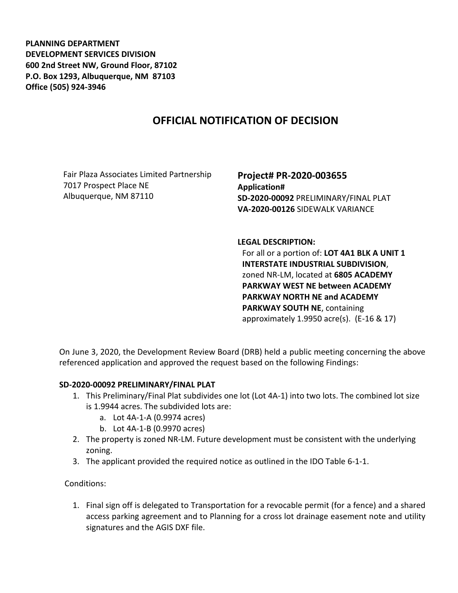**PLANNING DEPARTMENT DEVELOPMENT SERVICES DIVISION 600 2nd Street NW, Ground Floor, 87102 P.O. Box 1293, Albuquerque, NM 87103 Office (505) 924-3946** 

## **OFFICIAL NOTIFICATION OF DECISION**

Fair Plaza Associates Limited Partnership 7017 Prospect Place NE Albuquerque, NM 87110

**Project# PR-2020-003655 Application# SD-2020-00092** PRELIMINARY/FINAL PLAT **VA-2020-00126** SIDEWALK VARIANCE

## **LEGAL DESCRIPTION:**

For all or a portion of: **LOT 4A1 BLK A UNIT 1 INTERSTATE INDUSTRIAL SUBDIVISION**, zoned NR-LM, located at **6805 ACADEMY PARKWAY WEST NE between ACADEMY PARKWAY NORTH NE and ACADEMY PARKWAY SOUTH NE**, containing approximately 1.9950 acre(s). (E-16 & 17)

On June 3, 2020, the Development Review Board (DRB) held a public meeting concerning the above referenced application and approved the request based on the following Findings:

## **SD-2020-00092 PRELIMINARY/FINAL PLAT**

- 1. This Preliminary/Final Plat subdivides one lot (Lot 4A-1) into two lots. The combined lot size is 1.9944 acres. The subdivided lots are:
	- a. Lot 4A-1-A (0.9974 acres)
	- b. Lot 4A-1-B (0.9970 acres)
- 2. The property is zoned NR-LM. Future development must be consistent with the underlying zoning.
- 3. The applicant provided the required notice as outlined in the IDO Table 6-1-1.

Conditions:

1. Final sign off is delegated to Transportation for a revocable permit (for a fence) and a shared access parking agreement and to Planning for a cross lot drainage easement note and utility signatures and the AGIS DXF file.